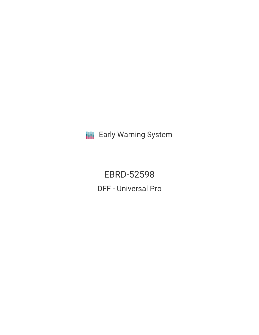**III** Early Warning System

EBRD-52598 DFF - Universal Pro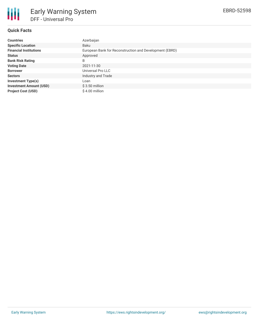

# Early Warning System DFF - Universal Pro

## **Quick Facts**

| <b>Countries</b>               | Azerbaijan                                              |
|--------------------------------|---------------------------------------------------------|
| <b>Specific Location</b>       | Baku                                                    |
| <b>Financial Institutions</b>  | European Bank for Reconstruction and Development (EBRD) |
| <b>Status</b>                  | Approved                                                |
| <b>Bank Risk Rating</b>        | B                                                       |
| <b>Voting Date</b>             | 2021-11-30                                              |
| <b>Borrower</b>                | Universal Pro LLC                                       |
| <b>Sectors</b>                 | Industry and Trade                                      |
| <b>Investment Type(s)</b>      | Loan                                                    |
| <b>Investment Amount (USD)</b> | $$3.50$ million                                         |
| <b>Project Cost (USD)</b>      | \$4.00 million                                          |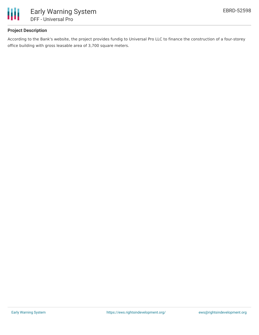

# **Project Description**

According to the Bank's website, the project provides fundig to Universal Pro LLC to finance the construction of a four-storey office building with gross leasable area of 3,700 square meters.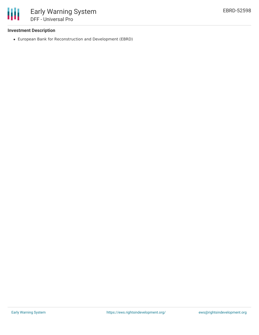

## **Investment Description**

European Bank for Reconstruction and Development (EBRD)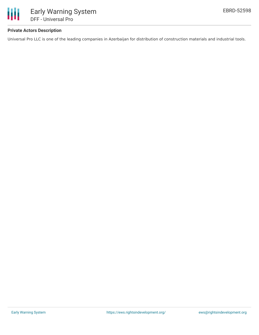

### **Private Actors Description**

Universal Pro LLC is one of the leading companies in Azerbaijan for distribution of construction materials and industrial tools.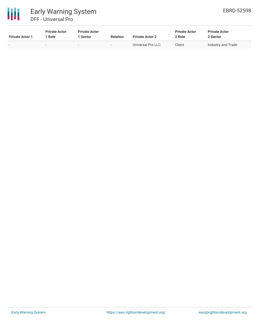

| <b>Private Actor 1</b>   | <b>Private Actor</b><br>* Role | <b>Private Actor</b><br>1 Sector | <b>Relation</b>          | <b>Private Actor 2</b> | <b>Private Actor</b><br>2 Role | <b>Private Actor</b><br>2 Sector |  |
|--------------------------|--------------------------------|----------------------------------|--------------------------|------------------------|--------------------------------|----------------------------------|--|
| $\overline{\phantom{0}}$ |                                |                                  | $\overline{\phantom{0}}$ | Universal Pro LLC      | Client                         | Industry and Trade               |  |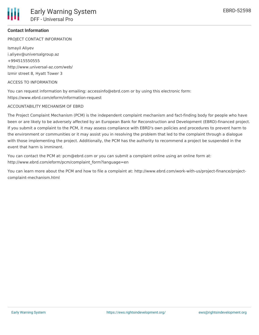#### **Contact Information**

PROJECT CONTACT INFORMATION

Ismayil Aliyev i.aliyev@universalgroup.az +994515550555 http://www.universal-az.com/web/ Izmir street 8, Hyatt Tower 3

#### ACCESS TO INFORMATION

You can request information by emailing: accessinfo@ebrd.com or by using this electronic form: https://www.ebrd.com/eform/information-request

#### ACCOUNTABILITY MECHANISM OF EBRD

The Project Complaint Mechanism (PCM) is the independent complaint mechanism and fact-finding body for people who have been or are likely to be adversely affected by an European Bank for Reconstruction and Development (EBRD)-financed project. If you submit a complaint to the PCM, it may assess compliance with EBRD's own policies and procedures to prevent harm to the environment or communities or it may assist you in resolving the problem that led to the complaint through a dialogue with those implementing the project. Additionally, the PCM has the authority to recommend a project be suspended in the event that harm is imminent.

You can contact the PCM at: pcm@ebrd.com or you can submit a complaint online using an online form at: http://www.ebrd.com/eform/pcm/complaint\_form?language=en

You can learn more about the PCM and how to file a complaint at: http://www.ebrd.com/work-with-us/project-finance/projectcomplaint-mechanism.html